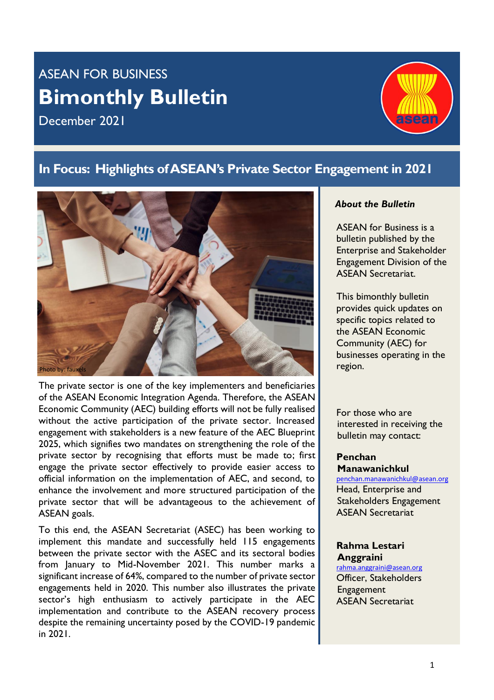# ASEAN FOR BUSINESS **Bimonthly Bulletin**

December 2021



### **In Focus: Highlights ofASEAN's Private Sector Engagement in 2021**



The private sector is one of the key implementers and beneficiaries of the ASEAN Economic Integration Agenda. Therefore, the ASEAN Economic Community (AEC) building efforts will not be fully realised without the active participation of the private sector. Increased engagement with stakeholders is a new feature of the AEC Blueprint 2025, which signifies two mandates on strengthening the role of the private sector by recognising that efforts must be made to; first engage the private sector effectively to provide easier access to official information on the implementation of AEC, and second, to enhance the involvement and more structured participation of the private sector that will be advantageous to the achievement of ASEAN goals.

To this end, the ASEAN Secretariat (ASEC) has been working to implement this mandate and successfully held 115 engagements between the private sector with the ASEC and its sectoral bodies from January to Mid-November 2021. This number marks a significant increase of 64%, compared to the number of private sector engagements held in 2020. This number also illustrates the private sector's high enthusiasm to actively participate in the AEC implementation and contribute to the ASEAN recovery process despite the remaining uncertainty posed by the COVID-19 pandemic in 2021.

#### *About the Bulletin*

ASEAN for Business is a bulletin published by the Enterprise and Stakeholder Engagement Division of the ASEAN Secretariat.

This bimonthly bulletin provides quick updates on specific topics related to the ASEAN Economic Community (AEC) for businesses operating in the region.

For those who are interested in receiving the bulletin may contact:

**Penchan Manawanichkul**

[penchan.manawanichkul@asean.org](mailto:penchan.manawanichkul@asean.org) Head, Enterprise and Stakeholders Engagement ASEAN Secretariat

#### **Rahma Lestari Anggraini**

[rahma.anggraini@asean.org](mailto:rahma.anggraini@asean.org) Officer, Stakeholders **Engagement** ASEAN Secretariat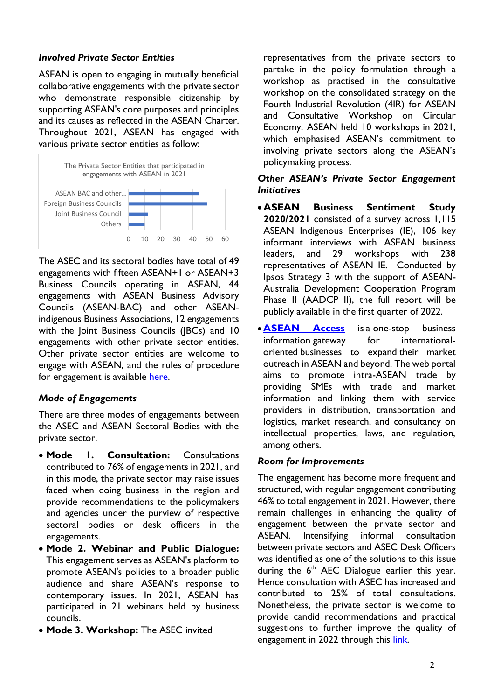#### *Involved Private Sector Entities*

ASEAN is open to engaging in mutually beneficial collaborative engagements with the private sector who demonstrate responsible citizenship by supporting ASEAN's core purposes and principles and its causes as reflected in the ASEAN Charter. Throughout 2021, ASEAN has engaged with various private sector entities as follow:



The ASEC and its sectoral bodies have total of 49 engagements with fifteen ASEAN+1 or ASEAN+3 Business Councils operating in ASEAN, 44 engagements with ASEAN Business Advisory Councils (ASEAN-BAC) and other ASEANindigenous Business Associations, 12 engagements with the Joint Business Councils (JBCs) and 10 engagements with other private sector entities. Other private sector entities are welcome to engage with ASEAN, and the rules of procedure for engagement is available [here.](https://asean.org/wp-content/uploads/2021/01/Rules-of-Procedures-for-PPE-for-website.pdf)

#### *Mode of Engagements*

There are three modes of engagements between the ASEC and ASEAN Sectoral Bodies with the private sector.

- **Mode 1. Consultation:** Consultations contributed to 76% of engagements in 2021, and in this mode, the private sector may raise issues faced when doing business in the region and provide recommendations to the policymakers and agencies under the purview of respective sectoral bodies or desk officers in the engagements.
- **Mode 2. Webinar and Public Dialogue:**  This engagement serves as ASEAN's platform to promote ASEAN's policies to a broader public audience and share ASEAN's response to contemporary issues. In 2021, ASEAN has participated in 21 webinars held by business councils.
- **Mode 3. Workshop:** The ASEC invited

representatives from the private sectors to partake in the policy formulation through a workshop as practised in the consultative workshop on the consolidated strategy on the Fourth Industrial Revolution (4IR) for ASEAN and Consultative Workshop on Circular Economy. ASEAN held 10 workshops in 2021, which emphasised ASEAN's commitment to involving private sectors along the ASEAN's policymaking process.

#### *Other ASEAN's Private Sector Engagement Initiatives*

- •**ASEAN Business Sentiment Study 2020/2021** consisted of a survey across 1,115 ASEAN Indigenous Enterprises (IE), 106 key informant interviews with ASEAN business leaders, and 29 workshops with 238 representatives of ASEAN IE. Conducted by Ipsos Strategy 3 with the support of ASEAN-Australia Development Cooperation Program Phase II (AADCP II), the full report will be publicly available in the first quarter of 2022.
- **[ASEAN Access](https://www.aseanaccess.com/)** is a one-stop business information gateway for internationaloriented businesses to expand their market outreach in ASEAN and beyond. The web portal aims to promote intra-ASEAN trade by providing SMEs with trade and market information and linking them with service providers in distribution, transportation and logistics, market research, and consultancy on intellectual properties, laws, and regulation, among others.

#### *Room for Improvements*

The engagement has become more frequent and structured, with regular engagement contributing 46% to total engagement in 2021. However, there remain challenges in enhancing the quality of engagement between the private sector and ASEAN. Intensifying informal consultation between private sectors and ASEC Desk Officers was identified as one of the solutions to this issue during the  $6<sup>th</sup>$  AEC Dialogue earlier this year. Hence consultation with ASEC has increased and contributed to 25% of total consultations. Nonetheless, the private sector is welcome to provide candid recommendations and practical suggestions to further improve the quality of engagement in 2022 through this [link.](https://forms.office.com/Pages/ResponsePage.aspx?id=vxuLx-yMdk-Voz1WoKVI6GvrxKia2IlCnCv4CkYgtwNUMEdNUTk2MTM4RjRJQVM5M0xBNUM2TkRTTy4u)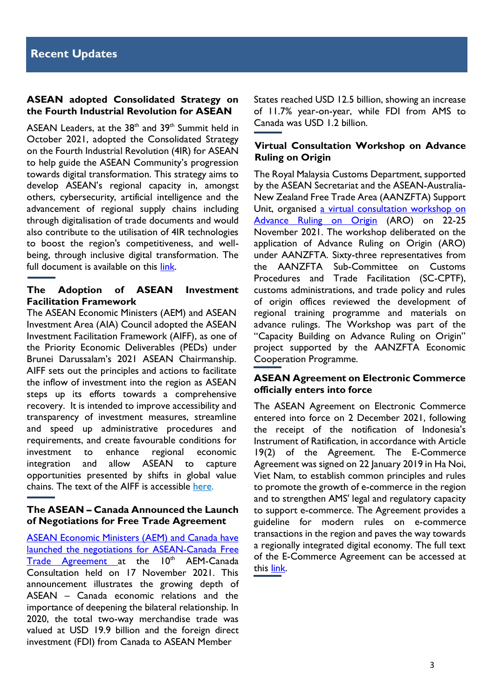#### **ASEAN adopted Consolidated Strategy on the Fourth Industrial Revolution for ASEAN**

ASEAN Leaders, at the  $38<sup>th</sup>$  and  $39<sup>th</sup>$  Summit held in October 2021, adopted the Consolidated Strategy on the Fourth Industrial Revolution (4IR) for ASEAN to help guide the ASEAN Community's progression towards digital transformation. This strategy aims to develop ASEAN's regional capacity in, amongst others, cybersecurity, artificial intelligence and the advancement of regional supply chains including through digitalisation of trade documents and would also contribute to the utilisation of 4IR technologies to boost the region's competitiveness, and wellbeing, through inclusive digital transformation. The full document is available on this [link.](https://asean.org/wp-content/uploads/2021/10/6.-Consolidated-Strategy-on-the-4IR-for-ASEAN.pdf)

#### **The Adoption of ASEAN Investment Facilitation Framework**

The ASEAN Economic Ministers (AEM) and ASEAN Investment Area (AIA) Council adopted the [ASEAN](https://asean.org/wp-content/uploads/2021/11/ASEAN-Investment-Facilitation-Framework-AIFF-Final-Text.pdf)  [Investment Facilitation Framework \(AIFF\),](https://asean.org/wp-content/uploads/2021/11/ASEAN-Investment-Facilitation-Framework-AIFF-Final-Text.pdf) as one of the Priority Economic Deliverables (PEDs) under Brunei Darussalam's 2021 ASEAN Chairmanship. AIFF sets out the principles and actions to facilitate the inflow of investment into the region as ASEAN steps up its efforts towards a comprehensive recovery. It is intended to improve accessibility and transparency of investment measures, streamline and speed up administrative procedures and requirements, and create favourable conditions for investment to enhance regional economic integration and allow ASEAN to capture opportunities presented by shifts in global value chains. The text of the AIFF is accessible [here.](https://asean.org/wp-content/uploads/2021/11/ASEAN-Investment-Facilitation-Framework-AIFF-Final-Text.pdf)

#### **The ASEAN – Canada Announced the Launch of Negotiations for Free Trade Agreement**

[ASEAN Economic Ministers \(AEM\) and Canada have](https://asean.org/asean-canada-launch-negotiations-for-free-trade-agreement/)  [launched the negotiations for ASEAN-Canada Free](https://asean.org/asean-canada-launch-negotiations-for-free-trade-agreement/)  [Trade Agreement](https://asean.org/asean-canada-launch-negotiations-for-free-trade-agreement/) at the 10<sup>th</sup> AEM-Canada Consultation held on 17 November 2021. This announcement illustrates the growing depth of ASEAN – Canada economic relations and the importance of deepening the bilateral relationship. In 2020, the total two-way merchandise trade was valued at USD 19.9 billion and the foreign direct investment (FDI) from Canada to ASEAN Member

States reached USD 12.5 billion, showing an increase of 11.7% year-on-year, while FDI from AMS to Canada was USD 1.2 billion.

#### **Virtual Consultation Workshop on Advance Ruling on Origin**

The Royal Malaysia Customs Department, supported by the ASEAN Secretariat and the ASEAN-Australia-New Zealand Free Trade Area (AANZFTA) Support Unit, organised a [virtual consultation workshop on](https://asean.org/aanzfta-deliberates-advance-ruling-on-origin-to-facilitate-international-trade/) [Advance Ruling on Origin](https://asean.org/aanzfta-deliberates-advance-ruling-on-origin-to-facilitate-international-trade/) (ARO) on 22-25 November 2021. The workshop deliberated on the application of Advance Ruling on Origin (ARO) under AANZFTA. Sixty-three representatives from the AANZFTA Sub-Committee on Customs Procedures and Trade Facilitation (SC-CPTF), customs administrations, and trade policy and rules of origin offices reviewed the development of regional training programme and materials on advance rulings. The Workshop was part of the "Capacity Building on Advance Ruling on Origin" project supported by the AANZFTA Economic Cooperation Programme.

#### **ASEAN Agreement on Electronic Commerce officially enters into force**

The ASEAN Agreement on Electronic Commerce entered into force on 2 December 2021, following the receipt of the notification of Indonesia's Instrument of Ratification, in accordance with Article 19(2) of the Agreement. The E-Commerce Agreement was signed on 22 January 2019 in Ha Noi, Viet Nam, to establish common principles and rules to promote the growth of e-commerce in the region and to strengthen AMS' legal and regulatory capacity to support e-commerce. The Agreement provides a guideline for modern rules on e-commerce transactions in the region and paves the way towards a regionally integrated digital economy. The full text of the E-Commerce Agreement can be accessed at this [link.](http://agreement.asean.org/media/download/20190306035048.pdf)